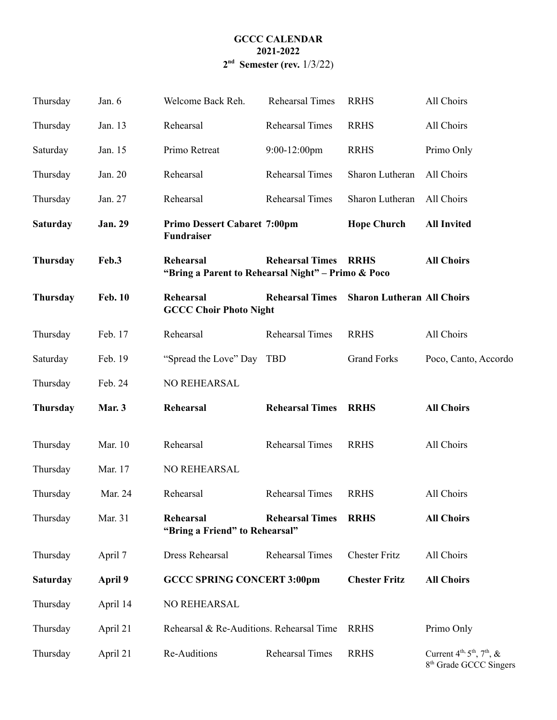## **GCCC CALENDAR 2021-2022 2 nd Semester (rev.** 1/3/22)

| Thursday        | Jan. 6         | Welcome Back Reh.                                                                                                                    | <b>Rehearsal Times</b> | <b>RRHS</b>                       | All Choirs                                                                 |  |
|-----------------|----------------|--------------------------------------------------------------------------------------------------------------------------------------|------------------------|-----------------------------------|----------------------------------------------------------------------------|--|
| Thursday        | Jan. 13        | Rehearsal                                                                                                                            | <b>Rehearsal Times</b> | <b>RRHS</b>                       | All Choirs                                                                 |  |
| Saturday        | Jan. 15        | Primo Retreat                                                                                                                        | $9:00-12:00$ pm        | <b>RRHS</b>                       | Primo Only                                                                 |  |
| Thursday        | Jan. 20        | Rehearsal                                                                                                                            | <b>Rehearsal Times</b> | Sharon Lutheran                   | All Choirs                                                                 |  |
| Thursday        | Jan. 27        | Rehearsal                                                                                                                            | <b>Rehearsal Times</b> | Sharon Lutheran                   | All Choirs                                                                 |  |
| <b>Saturday</b> | <b>Jan. 29</b> | <b>Primo Dessert Cabaret 7:00pm</b><br><b>Fundraiser</b>                                                                             |                        | <b>Hope Church</b>                | <b>All Invited</b>                                                         |  |
| <b>Thursday</b> | Feb.3          | <b>Rehearsal</b><br><b>Rehearsal Times</b><br><b>All Choirs</b><br><b>RRHS</b><br>"Bring a Parent to Rehearsal Night" - Primo & Poco |                        |                                   |                                                                            |  |
| <b>Thursday</b> | <b>Feb. 10</b> | <b>Rehearsal</b><br><b>GCCC Choir Photo Night</b>                                                                                    | <b>Rehearsal Times</b> | <b>Sharon Lutheran All Choirs</b> |                                                                            |  |
| Thursday        | Feb. 17        | Rehearsal                                                                                                                            | <b>Rehearsal Times</b> | <b>RRHS</b>                       | All Choirs                                                                 |  |
| Saturday        | Feb. 19        | "Spread the Love" Day                                                                                                                | <b>TBD</b>             | <b>Grand Forks</b>                | Poco, Canto, Accordo                                                       |  |
| Thursday        | Feb. 24        | NO REHEARSAL                                                                                                                         |                        |                                   |                                                                            |  |
| <b>Thursday</b> | Mar. 3         | <b>Rehearsal</b>                                                                                                                     | <b>Rehearsal Times</b> | <b>RRHS</b>                       | <b>All Choirs</b>                                                          |  |
| Thursday        | Mar. 10        | Rehearsal                                                                                                                            | <b>Rehearsal Times</b> | <b>RRHS</b>                       | All Choirs                                                                 |  |
| Thursday        | Mar. 17        | NO REHEARSAL                                                                                                                         |                        |                                   |                                                                            |  |
| Thursday        | Mar. 24        | Rehearsal                                                                                                                            | <b>Rehearsal Times</b> | <b>RRHS</b>                       | All Choirs                                                                 |  |
| Thursday        | Mar. 31        | Rehearsal<br>"Bring a Friend" to Rehearsal"                                                                                          | <b>Rehearsal Times</b> | <b>RRHS</b>                       | <b>All Choirs</b>                                                          |  |
| Thursday        | April 7        | Dress Rehearsal                                                                                                                      | Rehearsal Times        | <b>Chester Fritz</b>              | All Choirs                                                                 |  |
| <b>Saturday</b> | April 9        | <b>GCCC SPRING CONCERT 3:00pm</b>                                                                                                    |                        | <b>Chester Fritz</b>              | <b>All Choirs</b>                                                          |  |
| Thursday        | April 14       | NO REHEARSAL                                                                                                                         |                        |                                   |                                                                            |  |
| Thursday        | April 21       | Rehearsal & Re-Auditions. Rehearsal Time                                                                                             |                        | <b>RRHS</b>                       | Primo Only                                                                 |  |
| Thursday        | April 21       | Re-Auditions                                                                                                                         | Rehearsal Times        | <b>RRHS</b>                       | Current $4th$ , $5th$ , $7th$ , $\&$<br>8 <sup>th</sup> Grade GCCC Singers |  |